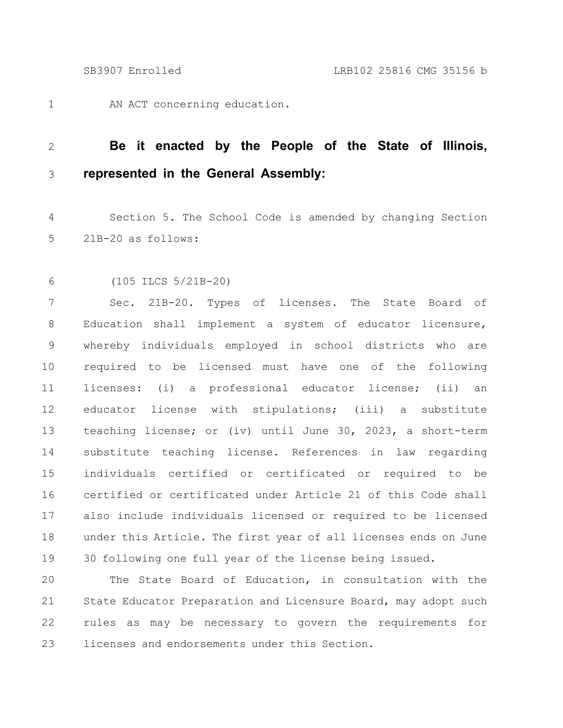AN ACT concerning education. 1

## **Be it enacted by the People of the State of Illinois, represented in the General Assembly:** 2 3

Section 5. The School Code is amended by changing Section 21B-20 as follows: 4 5

(105 ILCS 5/21B-20) 6

Sec. 21B-20. Types of licenses. The State Board of Education shall implement a system of educator licensure, whereby individuals employed in school districts who are required to be licensed must have one of the following licenses: (i) a professional educator license; (ii) an educator license with stipulations; (iii) a substitute teaching license; or (iv) until June 30, 2023, a short-term substitute teaching license. References in law regarding individuals certified or certificated or required to be certified or certificated under Article 21 of this Code shall also include individuals licensed or required to be licensed under this Article. The first year of all licenses ends on June 30 following one full year of the license being issued. 7 8 9 10 11 12 13 14 15 16 17 18 19

The State Board of Education, in consultation with the State Educator Preparation and Licensure Board, may adopt such rules as may be necessary to govern the requirements for licenses and endorsements under this Section. 20 21 22 23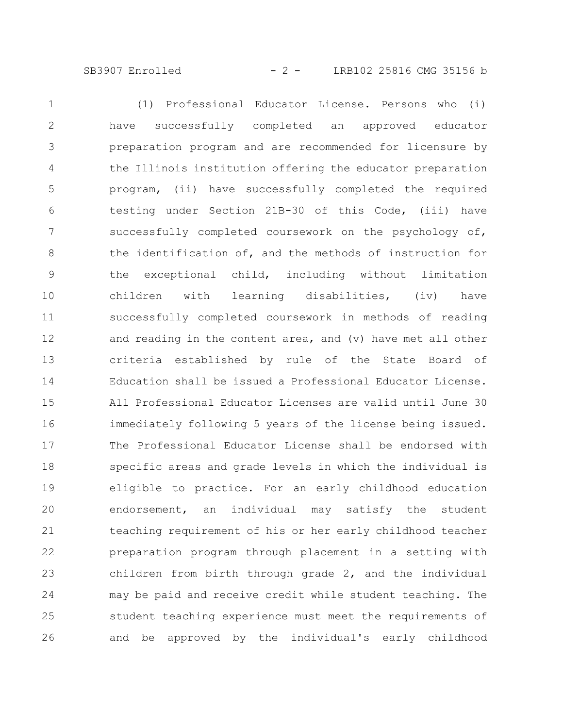## SB3907 Enrolled - 2 - LRB102 25816 CMG 35156 b

(1) Professional Educator License. Persons who (i) have successfully completed an approved educator preparation program and are recommended for licensure by the Illinois institution offering the educator preparation program, (ii) have successfully completed the required testing under Section 21B-30 of this Code, (iii) have successfully completed coursework on the psychology of, the identification of, and the methods of instruction for the exceptional child, including without limitation children with learning disabilities, (iv) have successfully completed coursework in methods of reading and reading in the content area, and (v) have met all other criteria established by rule of the State Board of Education shall be issued a Professional Educator License. All Professional Educator Licenses are valid until June 30 immediately following 5 years of the license being issued. The Professional Educator License shall be endorsed with specific areas and grade levels in which the individual is eligible to practice. For an early childhood education endorsement, an individual may satisfy the student teaching requirement of his or her early childhood teacher preparation program through placement in a setting with children from birth through grade 2, and the individual may be paid and receive credit while student teaching. The student teaching experience must meet the requirements of and be approved by the individual's early childhood 1 2 3 4 5 6 7 8 9 10 11 12 13 14 15 16 17 18 19 20 21 22 23 24 25 26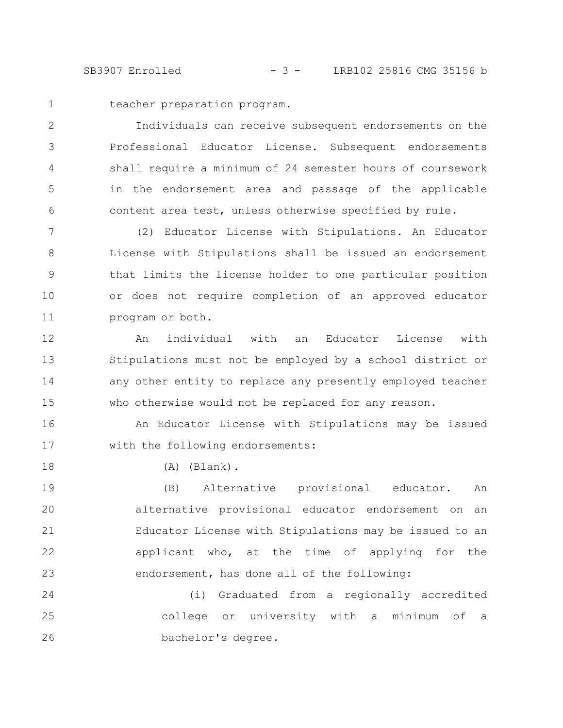SB3907 Enrolled - 3 - LRB102 25816 CMG 35156 b

1

18

teacher preparation program.

Individuals can receive subsequent endorsements on the Professional Educator License. Subsequent endorsements shall require a minimum of 24 semester hours of coursework in the endorsement area and passage of the applicable content area test, unless otherwise specified by rule. 2 3 4 5 6

(2) Educator License with Stipulations. An Educator License with Stipulations shall be issued an endorsement that limits the license holder to one particular position or does not require completion of an approved educator program or both. 7 8 9 10 11

An individual with an Educator License with Stipulations must not be employed by a school district or any other entity to replace any presently employed teacher who otherwise would not be replaced for any reason. 12 13 14 15

An Educator License with Stipulations may be issued with the following endorsements: 16 17

(A) (Blank).

(B) Alternative provisional educator. An alternative provisional educator endorsement on an Educator License with Stipulations may be issued to an applicant who, at the time of applying for the endorsement, has done all of the following: 19 20 21 22 23

(i) Graduated from a regionally accredited college or university with a minimum of a bachelor's degree. 24 25 26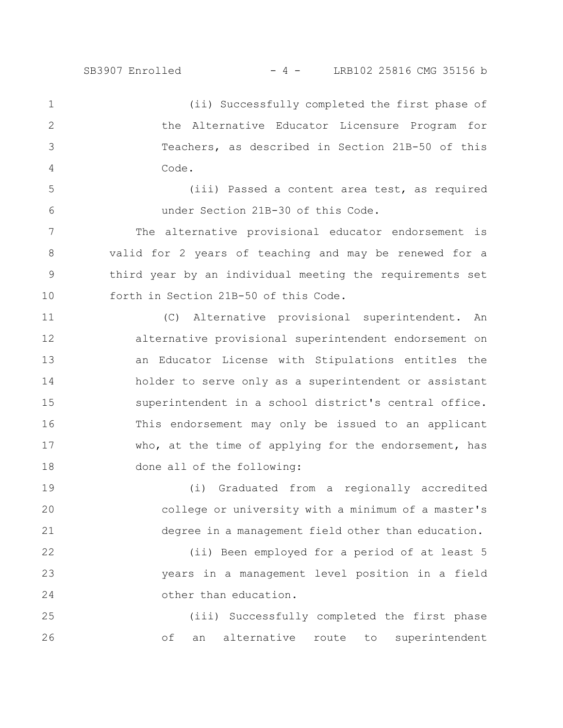5

6

(ii) Successfully completed the first phase of the Alternative Educator Licensure Program for Teachers, as described in Section 21B-50 of this Code. 1 2 3 4

(iii) Passed a content area test, as required under Section 21B-30 of this Code.

The alternative provisional educator endorsement is valid for 2 years of teaching and may be renewed for a third year by an individual meeting the requirements set forth in Section 21B-50 of this Code. 7 8 9 10

(C) Alternative provisional superintendent. An alternative provisional superintendent endorsement on an Educator License with Stipulations entitles the holder to serve only as a superintendent or assistant superintendent in a school district's central office. This endorsement may only be issued to an applicant who, at the time of applying for the endorsement, has done all of the following: 11 12 13 14 15 16 17 18

(i) Graduated from a regionally accredited college or university with a minimum of a master's degree in a management field other than education. 19 20 21

(ii) Been employed for a period of at least 5 years in a management level position in a field other than education. 22 23 24

(iii) Successfully completed the first phase of an alternative route to superintendent 25 26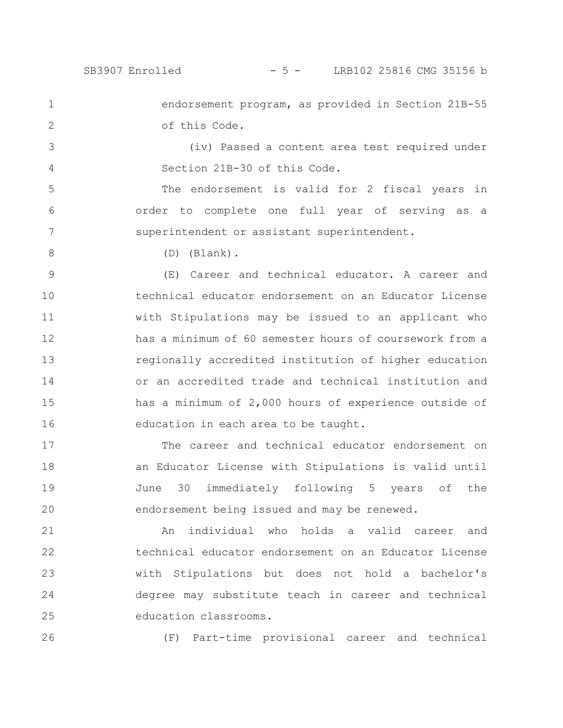1

2

5

6

7

endorsement program, as provided in Section 21B-55 of this Code.

(iv) Passed a content area test required under Section 21B-30 of this Code. 3 4

The endorsement is valid for 2 fiscal years in order to complete one full year of serving as a superintendent or assistant superintendent.

8

(D) (Blank).

(E) Career and technical educator. A career and technical educator endorsement on an Educator License with Stipulations may be issued to an applicant who has a minimum of 60 semester hours of coursework from a regionally accredited institution of higher education or an accredited trade and technical institution and has a minimum of 2,000 hours of experience outside of education in each area to be taught. 9 10 11 12 13 14 15 16

The career and technical educator endorsement on an Educator License with Stipulations is valid until June 30 immediately following 5 years of the endorsement being issued and may be renewed. 17 18 19 20

An individual who holds a valid career and technical educator endorsement on an Educator License with Stipulations but does not hold a bachelor's degree may substitute teach in career and technical education classrooms. 21 22 23 24 25

26

(F) Part-time provisional career and technical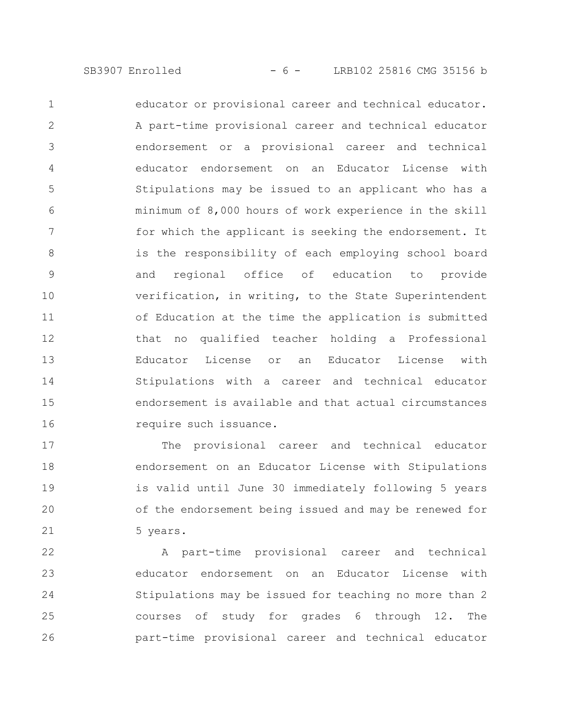educator or provisional career and technical educator. A part-time provisional career and technical educator endorsement or a provisional career and technical educator endorsement on an Educator License with Stipulations may be issued to an applicant who has a minimum of 8,000 hours of work experience in the skill for which the applicant is seeking the endorsement. It is the responsibility of each employing school board and regional office of education to provide verification, in writing, to the State Superintendent of Education at the time the application is submitted that no qualified teacher holding a Professional Educator License or an Educator License with Stipulations with a career and technical educator endorsement is available and that actual circumstances require such issuance. 1 2 3 4 5 6 7 8 9 10 11 12 13 14 15 16

The provisional career and technical educator endorsement on an Educator License with Stipulations is valid until June 30 immediately following 5 years of the endorsement being issued and may be renewed for 5 years. 17 18 19 20 21

A part-time provisional career and technical educator endorsement on an Educator License with Stipulations may be issued for teaching no more than 2 courses of study for grades 6 through 12. The part-time provisional career and technical educator 22 23 24 25 26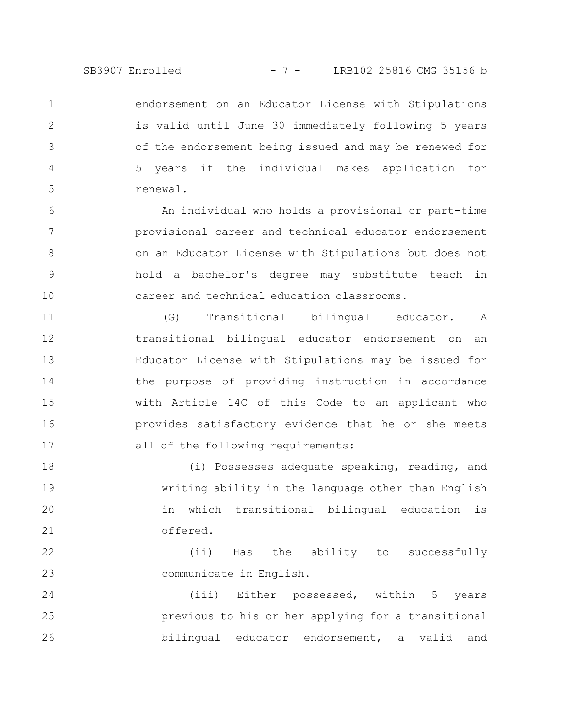endorsement on an Educator License with Stipulations is valid until June 30 immediately following 5 years of the endorsement being issued and may be renewed for 5 years if the individual makes application for renewal. 1 2 3 4 5

An individual who holds a provisional or part-time provisional career and technical educator endorsement on an Educator License with Stipulations but does not hold a bachelor's degree may substitute teach in career and technical education classrooms. 6 7 8 9 10

(G) Transitional bilingual educator. A transitional bilingual educator endorsement on an Educator License with Stipulations may be issued for the purpose of providing instruction in accordance with Article 14C of this Code to an applicant who provides satisfactory evidence that he or she meets all of the following requirements: 11 12 13 14 15 16 17

(i) Possesses adequate speaking, reading, and writing ability in the language other than English in which transitional bilingual education is offered. 18 19 20 21

(ii) Has the ability to successfully communicate in English. 22 23

(iii) Either possessed, within 5 years previous to his or her applying for a transitional bilingual educator endorsement, a valid and 24 25 26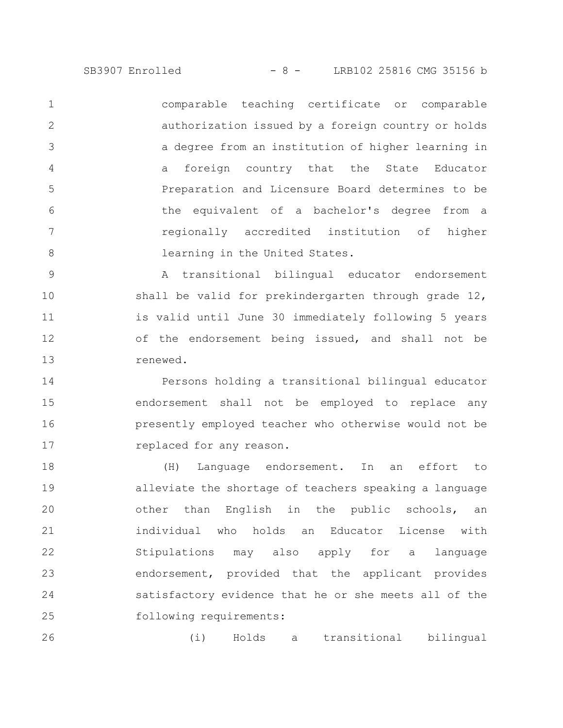SB3907 Enrolled - 8 - LRB102 25816 CMG 35156 b

comparable teaching certificate or comparable authorization issued by a foreign country or holds a degree from an institution of higher learning in a foreign country that the State Educator Preparation and Licensure Board determines to be the equivalent of a bachelor's degree from a regionally accredited institution of higher learning in the United States. 1 2 3 4 5 6 7 8

A transitional bilingual educator endorsement shall be valid for prekindergarten through grade 12, is valid until June 30 immediately following 5 years of the endorsement being issued, and shall not be renewed. 9 10 11 12 13

Persons holding a transitional bilingual educator endorsement shall not be employed to replace any presently employed teacher who otherwise would not be replaced for any reason. 14 15 16 17

(H) Language endorsement. In an effort to alleviate the shortage of teachers speaking a language other than English in the public schools, an individual who holds an Educator License with Stipulations may also apply for a language endorsement, provided that the applicant provides satisfactory evidence that he or she meets all of the following requirements: 18 19 20 21 22 23 24 25

(i) Holds a transitional bilingual 26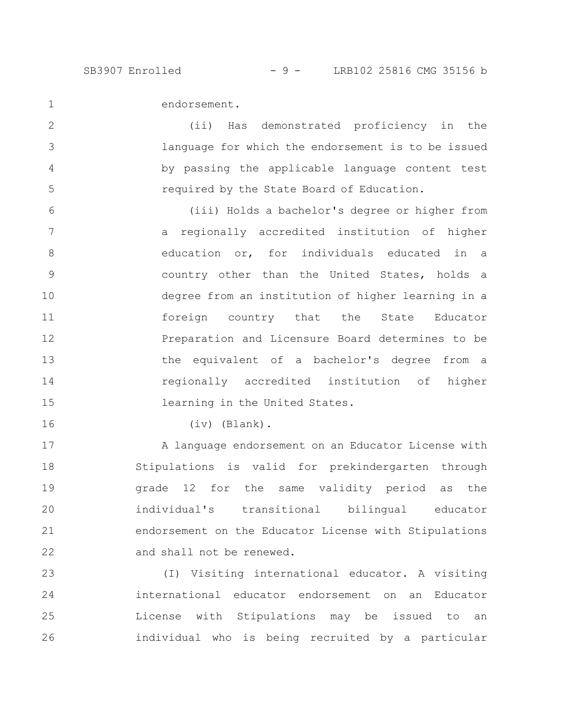1

2

3

4

5

endorsement.

(ii) Has demonstrated proficiency in the language for which the endorsement is to be issued by passing the applicable language content test required by the State Board of Education.

(iii) Holds a bachelor's degree or higher from a regionally accredited institution of higher education or, for individuals educated in a country other than the United States, holds a degree from an institution of higher learning in a foreign country that the State Educator Preparation and Licensure Board determines to be the equivalent of a bachelor's degree from a regionally accredited institution of higher learning in the United States. 6 7 8 9 10 11 12 13 14 15

16

(iv) (Blank).

A language endorsement on an Educator License with Stipulations is valid for prekindergarten through grade 12 for the same validity period as the individual's transitional bilingual educator endorsement on the Educator License with Stipulations and shall not be renewed. 17 18 19 20 21 22

(I) Visiting international educator. A visiting international educator endorsement on an Educator License with Stipulations may be issued to an individual who is being recruited by a particular 23 24 25 26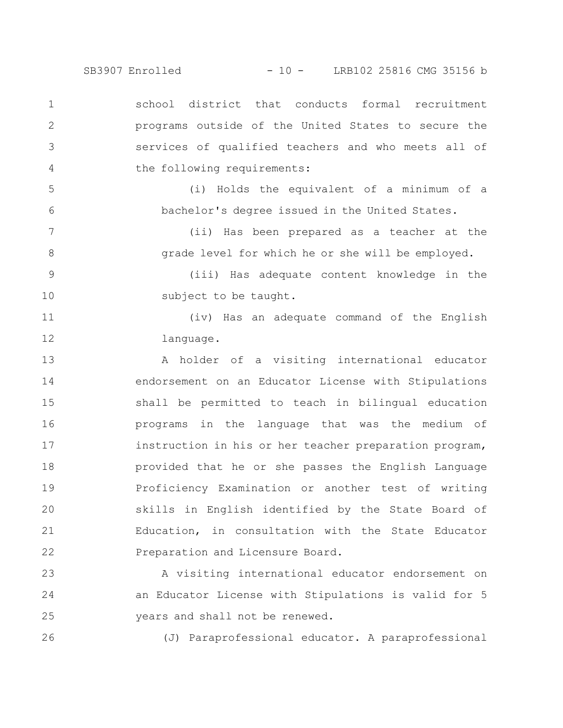SB3907 Enrolled - 10 - LRB102 25816 CMG 35156 b

school district that conducts formal recruitment programs outside of the United States to secure the services of qualified teachers and who meets all of the following requirements: 1 2 3 4

5

6

7

8

26

(i) Holds the equivalent of a minimum of a bachelor's degree issued in the United States.

> (ii) Has been prepared as a teacher at the grade level for which he or she will be employed.

(iii) Has adequate content knowledge in the subject to be taught. 9 10

(iv) Has an adequate command of the English language. 11 12

A holder of a visiting international educator endorsement on an Educator License with Stipulations shall be permitted to teach in bilingual education programs in the language that was the medium of instruction in his or her teacher preparation program, provided that he or she passes the English Language Proficiency Examination or another test of writing skills in English identified by the State Board of Education, in consultation with the State Educator Preparation and Licensure Board. 13 14 15 16 17 18 19 20 21 22

A visiting international educator endorsement on an Educator License with Stipulations is valid for 5 years and shall not be renewed. 23 24 25

(J) Paraprofessional educator. A paraprofessional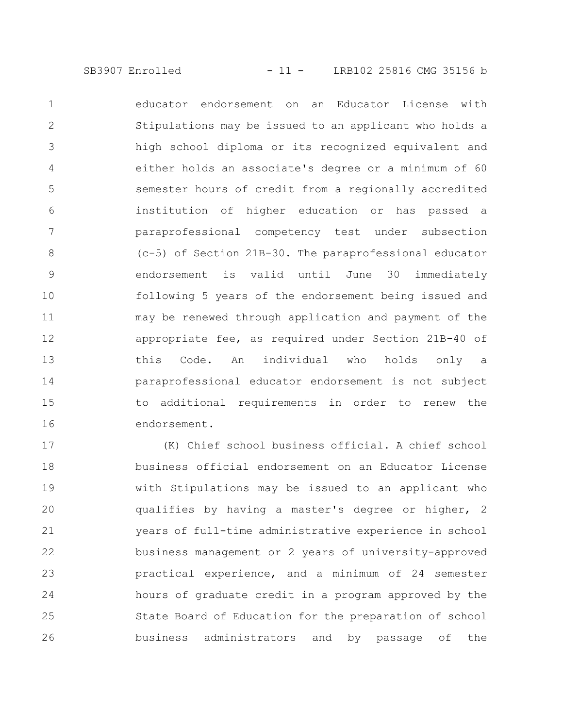educator endorsement on an Educator License with Stipulations may be issued to an applicant who holds a high school diploma or its recognized equivalent and either holds an associate's degree or a minimum of 60 semester hours of credit from a regionally accredited institution of higher education or has passed a paraprofessional competency test under subsection (c-5) of Section 21B-30. The paraprofessional educator endorsement is valid until June 30 immediately following 5 years of the endorsement being issued and may be renewed through application and payment of the appropriate fee, as required under Section 21B-40 of this Code. An individual who holds only a paraprofessional educator endorsement is not subject to additional requirements in order to renew the endorsement. 1 2 3 4 5 6 7 8 9 10 11 12 13 14 15 16

(K) Chief school business official. A chief school business official endorsement on an Educator License with Stipulations may be issued to an applicant who qualifies by having a master's degree or higher, 2 years of full-time administrative experience in school business management or 2 years of university-approved practical experience, and a minimum of 24 semester hours of graduate credit in a program approved by the State Board of Education for the preparation of school business administrators and by passage of the 17 18 19 20 21 22 23 24 25 26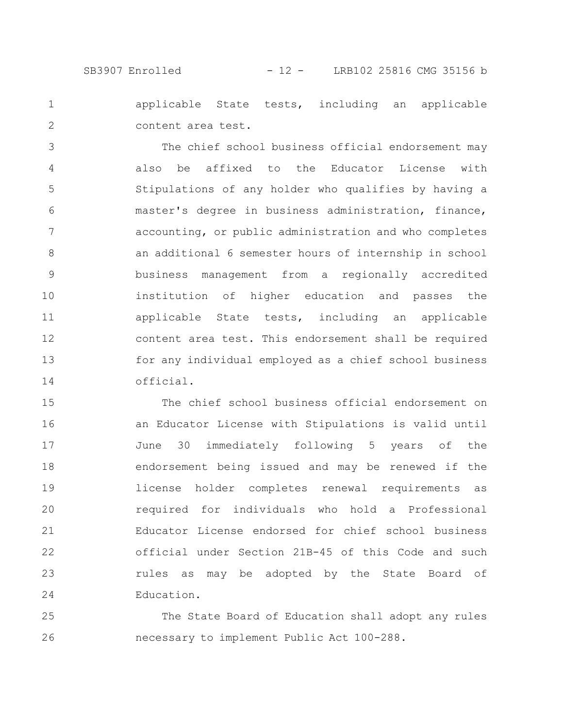SB3907 Enrolled - 12 - LRB102 25816 CMG 35156 b

applicable State tests, including an applicable content area test. 1 2

The chief school business official endorsement may also be affixed to the Educator License with Stipulations of any holder who qualifies by having a master's degree in business administration, finance, accounting, or public administration and who completes an additional 6 semester hours of internship in school business management from a regionally accredited institution of higher education and passes the applicable State tests, including an applicable content area test. This endorsement shall be required for any individual employed as a chief school business official. 3 4 5 6 7 8 9 10 11 12 13 14

The chief school business official endorsement on an Educator License with Stipulations is valid until June 30 immediately following 5 years of the endorsement being issued and may be renewed if the license holder completes renewal requirements as required for individuals who hold a Professional Educator License endorsed for chief school business official under Section 21B-45 of this Code and such rules as may be adopted by the State Board of Education. 15 16 17 18 19 20 21 22 23 24

The State Board of Education shall adopt any rules necessary to implement Public Act 100-288. 25 26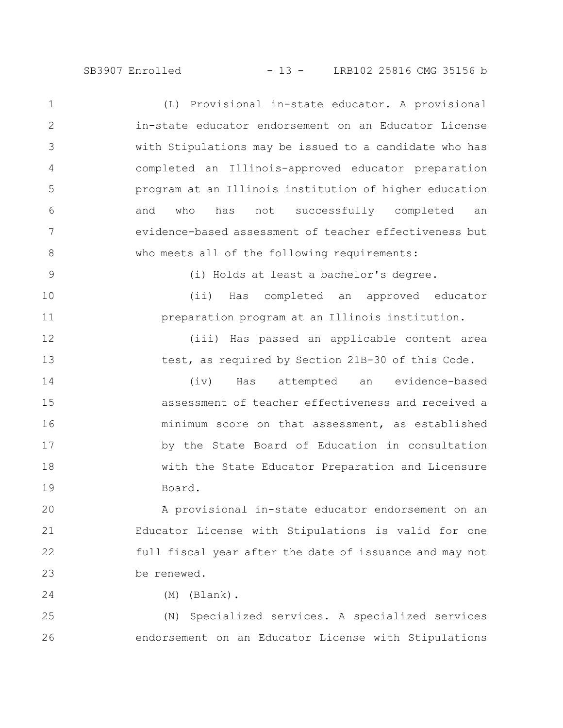SB3907 Enrolled - 13 - LRB102 25816 CMG 35156 b

(L) Provisional in-state educator. A provisional in-state educator endorsement on an Educator License with Stipulations may be issued to a candidate who has completed an Illinois-approved educator preparation program at an Illinois institution of higher education and who has not successfully completed an evidence-based assessment of teacher effectiveness but who meets all of the following requirements: (i) Holds at least a bachelor's degree. (ii) Has completed an approved educator preparation program at an Illinois institution. (iii) Has passed an applicable content area test, as required by Section 21B-30 of this Code. (iv) Has attempted an evidence-based assessment of teacher effectiveness and received a minimum score on that assessment, as established by the State Board of Education in consultation 1 2 3 4 5 6 7 8 9 10 11 12 13 14 15 16 17

Board.

A provisional in-state educator endorsement on an Educator License with Stipulations is valid for one full fiscal year after the date of issuance and may not be renewed. 20 21 22 23

with the State Educator Preparation and Licensure

18

19

24

(M) (Blank).

(N) Specialized services. A specialized services endorsement on an Educator License with Stipulations 25 26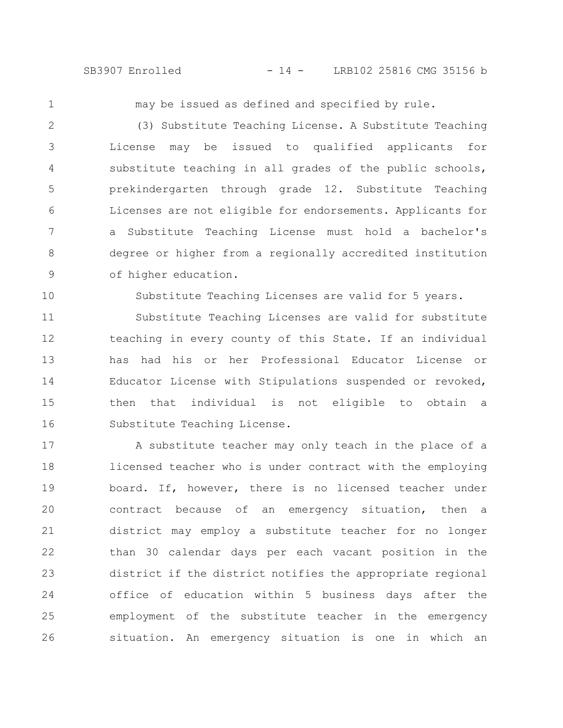SB3907 Enrolled - 14 - LRB102 25816 CMG 35156 b

1

10

may be issued as defined and specified by rule.

(3) Substitute Teaching License. A Substitute Teaching License may be issued to qualified applicants for substitute teaching in all grades of the public schools, prekindergarten through grade 12. Substitute Teaching Licenses are not eligible for endorsements. Applicants for a Substitute Teaching License must hold a bachelor's degree or higher from a regionally accredited institution of higher education. 2 3 4 5 6 7 8 9

Substitute Teaching Licenses are valid for 5 years.

Substitute Teaching Licenses are valid for substitute teaching in every county of this State. If an individual has had his or her Professional Educator License or Educator License with Stipulations suspended or revoked, then that individual is not eligible to obtain a Substitute Teaching License. 11 12 13 14 15 16

A substitute teacher may only teach in the place of a licensed teacher who is under contract with the employing board. If, however, there is no licensed teacher under contract because of an emergency situation, then a district may employ a substitute teacher for no longer than 30 calendar days per each vacant position in the district if the district notifies the appropriate regional office of education within 5 business days after the employment of the substitute teacher in the emergency situation. An emergency situation is one in which an 17 18 19 20 21 22 23 24 25 26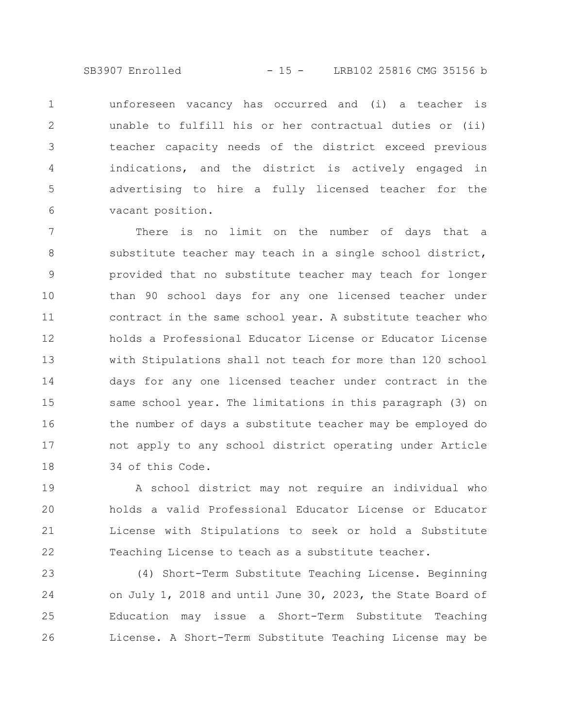SB3907 Enrolled - 15 - LRB102 25816 CMG 35156 b

unforeseen vacancy has occurred and (i) a teacher is unable to fulfill his or her contractual duties or (ii) teacher capacity needs of the district exceed previous indications, and the district is actively engaged in advertising to hire a fully licensed teacher for the vacant position. 1 2 3 4 5 6

There is no limit on the number of days that a substitute teacher may teach in a single school district, provided that no substitute teacher may teach for longer than 90 school days for any one licensed teacher under contract in the same school year. A substitute teacher who holds a Professional Educator License or Educator License with Stipulations shall not teach for more than 120 school days for any one licensed teacher under contract in the same school year. The limitations in this paragraph (3) on the number of days a substitute teacher may be employed do not apply to any school district operating under Article 34 of this Code. 7 8 9 10 11 12 13 14 15 16 17 18

A school district may not require an individual who holds a valid Professional Educator License or Educator License with Stipulations to seek or hold a Substitute Teaching License to teach as a substitute teacher. 19 20 21 22

(4) Short-Term Substitute Teaching License. Beginning on July 1, 2018 and until June 30, 2023, the State Board of Education may issue a Short-Term Substitute Teaching License. A Short-Term Substitute Teaching License may be 23 24 25 26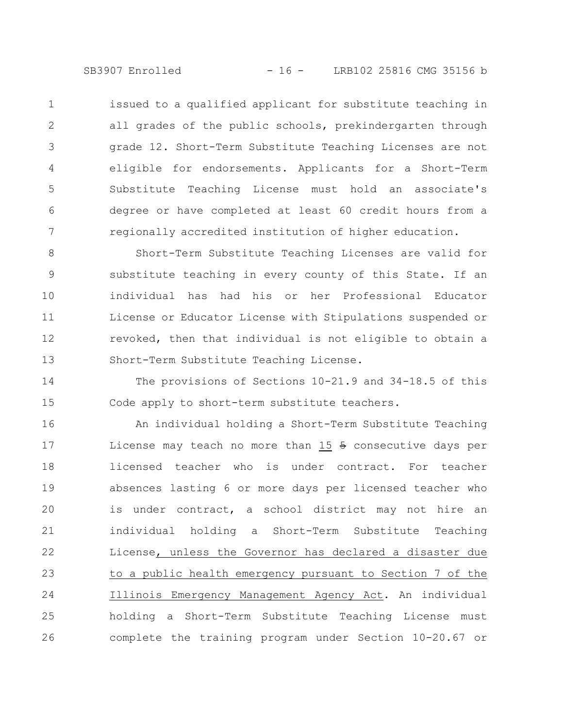SB3907 Enrolled - 16 - LRB102 25816 CMG 35156 b

issued to a qualified applicant for substitute teaching in all grades of the public schools, prekindergarten through grade 12. Short-Term Substitute Teaching Licenses are not eligible for endorsements. Applicants for a Short-Term Substitute Teaching License must hold an associate's degree or have completed at least 60 credit hours from a regionally accredited institution of higher education. 1 2 3 4 5 6 7

Short-Term Substitute Teaching Licenses are valid for substitute teaching in every county of this State. If an individual has had his or her Professional Educator License or Educator License with Stipulations suspended or revoked, then that individual is not eligible to obtain a Short-Term Substitute Teaching License. 8 9 10 11 12 13

The provisions of Sections 10-21.9 and 34-18.5 of this Code apply to short-term substitute teachers. 14 15

An individual holding a Short-Term Substitute Teaching License may teach no more than  $15 +$  consecutive days per licensed teacher who is under contract. For teacher absences lasting 6 or more days per licensed teacher who is under contract, a school district may not hire an individual holding a Short-Term Substitute Teaching License, unless the Governor has declared a disaster due to a public health emergency pursuant to Section 7 of the Illinois Emergency Management Agency Act. An individual holding a Short-Term Substitute Teaching License must complete the training program under Section 10-20.67 or 16 17 18 19 20 21 22 23 24 25 26